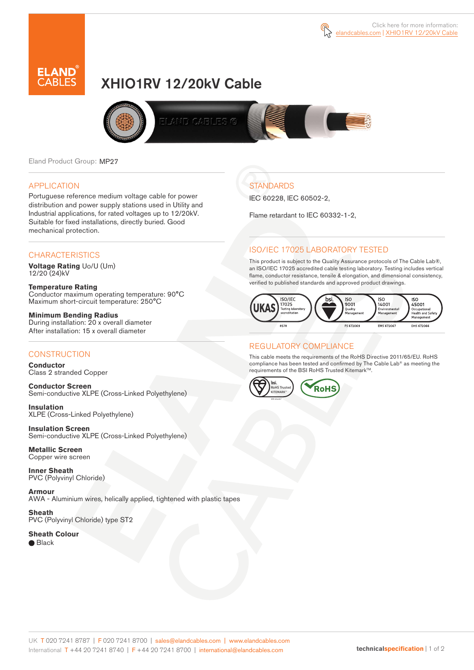



# XHIO1RV 12/20kV Cable



Eland Product Group: MP27

#### APPLICATION

Portuguese reference medium voltage cable for power distribution and power supply stations used in Utility and Industrial applications, for rated voltages up to 12/20kV. Suitable for fixed installations, directly buried. Good mechanical protection.

#### **CHARACTERISTICS**

**Voltage Rating** Uo/U (Um) 12/20 (24)kV

**Temperature Rating** Conductor maximum operating temperature: 90°C Maximum short-circuit temperature: 250°C

**Minimum Bending Radius** During installation: 20 x overall diameter After installation: 15 x overall diameter

### **CONSTRUCTION**

**Conductor**  Class 2 stranded Copper

**Conductor Screen** Semi-conductive XLPE (Cross-Linked Polyethylene)

**Insulation** XLPE (Cross-Linked Polyethylene)

**Insulation Screen** Semi-conductive XLPE (Cross-Linked Polyethylene)

**Metallic Screen**  Copper wire screen

**Inner Sheath** PVC (Polyvinyl Chloride)

**Armour** AWA - Aluminium wires, helically applied, tightened with plastic tapes

**Sheath** PVC (Polyvinyl Chloride) type ST2

**Sheath Colour**  ● Black

**STANDARDS** 

IEC 60228, IEC 60502-2,

Flame retardant to IEC 60332-1-2,

## ISO/IEC 17025 LABORATORY TESTED

This product is subject to the Quality Assurance protocols of The Cable Lab®, an ISO/IEC 17025 accredited cable testing laboratory. Testing includes vertical flame, conductor resistance, tensile & elongation, and dimensional consistency, verified to published standards and approved product drawings.



## REGULATORY COMPLIANCE

This cable meets the requirements of the RoHS Directive 2011/65/EU. RoHS compliance has been tested and confirmed by The Cable Lab® as meeting the requirements of the BSI RoHS Trusted Kitemark™.